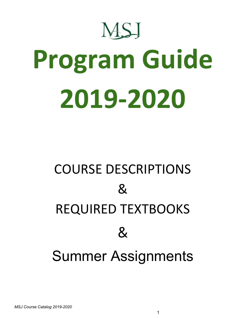

# **Program Guide 2019-2020**

# COURSE DESCRIPTIONS  $\mathcal{R}_{\mathcal{L}}$ REQUIRED TEXTBOOKS  $\mathcal{R}_{\mathcal{L}}$ Summer Assignments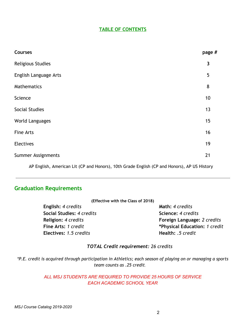#### **TABLE OF CONTENTS**

| <b>Courses</b>        | page #                  |
|-----------------------|-------------------------|
| Religious Studies     | $\overline{\mathbf{3}}$ |
| English Language Arts | 5                       |
| Mathematics           | 8                       |
| Science               | 10                      |
| Social Studies        | 13                      |
| World Languages       | 15                      |
| <b>Fine Arts</b>      | 16                      |
| <b>Electives</b>      | 19                      |
| Summer Assignments    | 21                      |
|                       |                         |

AP English, American Lit (CP and Honors), 10th Grade English (CP and Honors), AP US History

#### **Graduation Requirements**

| (Effective with the Class of 2018) |                               |
|------------------------------------|-------------------------------|
| English: 4 credits                 | Math: 4 credits               |
| Social Studies: 4 credits          | Science: 4 credits            |
| Religion: 4 credits                | Foreign Language: 2 credits   |
| Fine Arts: 1 credit                | *Physical Education: 1 credit |
| Electives: 1.5 credits             | Health: .5 credit             |
|                                    |                               |

#### *TOTAL Credit requirement: 26 credits*

\*P.E. credit is acquired through participation in Athletics; each season of playing on or managing a sports *team counts as .25 credit.*

#### *ALL MSJ STUDENTS ARE REQUIRED TO PROVIDE 25 HOURS OF SERVICE EACH ACADEMIC SCHOOL YEAR*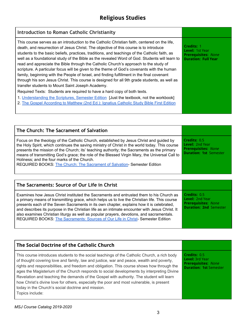| Introduction to Roman Catholic Christianity                                                                                                                                                                                                                                                                                                                                                                                                                                                                                                                                                                                                                                                                                                                                                                                     |                                                                                                  |
|---------------------------------------------------------------------------------------------------------------------------------------------------------------------------------------------------------------------------------------------------------------------------------------------------------------------------------------------------------------------------------------------------------------------------------------------------------------------------------------------------------------------------------------------------------------------------------------------------------------------------------------------------------------------------------------------------------------------------------------------------------------------------------------------------------------------------------|--------------------------------------------------------------------------------------------------|
| This course serves as an introduction to the Catholic Christian faith, centered on the life,<br>death, and resurrection of Jesus Christ. The objective of this course is to introduce<br>students to the basic beliefs, practices, traditions, and teachings of the Catholic faith, as<br>well as a foundational study of the Bible as the revealed Word of God. Students will learn to<br>read and appreciate the Bible through the Catholic Church's approach to the study of<br>scripture. A particular focus will be given to the theme of God's covenants with the human<br>family, beginning with the People of Israel, and finding fulfillment in the final covenant<br>through his son Jesus Christ. This course is designed for all 9th grade students, as well as<br>transfer students to Mount Saint Joseph Academy. | Credits: 1<br><b>Level: 1st Year</b><br><b>Prerequisites: None</b><br><b>Duration: Full Year</b> |
| Required Texts: Students are required to have a hard copy of both texts.<br>1. Understanding the Scriptures, Semester Edition [Just the textbook, not the workbook]<br>2. The Gospel According to Matthew (2nd Ed.): Ignatius Catholic Study Bible First Edition                                                                                                                                                                                                                                                                                                                                                                                                                                                                                                                                                                |                                                                                                  |
|                                                                                                                                                                                                                                                                                                                                                                                                                                                                                                                                                                                                                                                                                                                                                                                                                                 |                                                                                                  |

| The Church: The Sacrament of Salvation                                                                                                                                                                                                                                                                                                                                                                                                                                                                             |                                                                                                |
|--------------------------------------------------------------------------------------------------------------------------------------------------------------------------------------------------------------------------------------------------------------------------------------------------------------------------------------------------------------------------------------------------------------------------------------------------------------------------------------------------------------------|------------------------------------------------------------------------------------------------|
| Focus on the theology of the Catholic Church, established by Jesus Christ and guided by<br>the Holy Spirit, which continues the saving ministry of Christ in the world today. This course<br>presents the mission of the Church; its' teaching authority; the Sacraments as the primary<br>means of transmitting God's grace; the role of the Blessed Virgin Mary, the Universal Call to<br>Holiness; and the four marks of the Church.<br>REQUIRED BOOKS: The Church: The Sacrament of Salvation-Semester Edition | Credits: 0.5<br>Level: 2nd Year<br><b>Prerequisites: None</b><br><b>Duration: 1st Semester</b> |

| The Sacraments: Source of Our Life in Christ                                                                                                                                                                                                                                                                                                                                                                                                                                                                                                                          |                                                                                                |
|-----------------------------------------------------------------------------------------------------------------------------------------------------------------------------------------------------------------------------------------------------------------------------------------------------------------------------------------------------------------------------------------------------------------------------------------------------------------------------------------------------------------------------------------------------------------------|------------------------------------------------------------------------------------------------|
| Examines how Jesus Christ instituted the Sacraments and entrusted them to his Church as<br>a primary means of transmitting grace, which helps us to live the Christian life. This course<br>presents each of the Seven Sacraments in its own chapter, explains how it is celebrated,<br>and describes its purpose in the Christian life as an intimate encounter with Jesus Christ. It<br>also examines Christian liturgy as well as popular prayers, devotions, and sacramentals.<br>REQUIRED BOOKS: The Sacraments: Sources of Our Life in Christ- Semester Edition | Credits: 0.5<br>Level: 2nd Year<br><b>Prerequisites: None</b><br><b>Duration: 2nd Semester</b> |

| The Social Doctrine of the Catholic Church                                                                                                                                                                                                                                                                                                                                                                                                                                                                                                                                                                                                          |                                                                                                       |
|-----------------------------------------------------------------------------------------------------------------------------------------------------------------------------------------------------------------------------------------------------------------------------------------------------------------------------------------------------------------------------------------------------------------------------------------------------------------------------------------------------------------------------------------------------------------------------------------------------------------------------------------------------|-------------------------------------------------------------------------------------------------------|
| This course introduces students to the social teachings of the Catholic Church, a rich body<br>of thought covering love and family, law and justice, war and peace, wealth and poverty,<br>rights and responsibilities, and freedom and obligation. This course shows how through the<br>ages the Magisterium of the Church responds to social developments by interpreting Divine<br>Revelation and teaching the demands of the Gospel with authority. The student will learn<br>how Christ's divine love for others, especially the poor and most vulnerable, is present<br>today in the Church's social doctrine and mission.<br>Topics include: | Credits: 0.5<br><b>Level: 3rd Year</b><br><b>Prerequisites: None</b><br><b>Duration: 1st Semester</b> |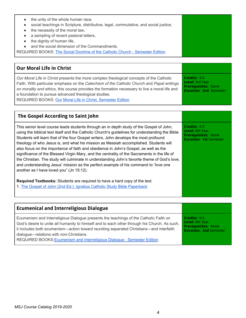| the unity of the whole human race,                                                   |  |
|--------------------------------------------------------------------------------------|--|
| social teachings in Scripture, distributive, legal, commutative, and social justice, |  |
| the necessity of the moral law,                                                      |  |
| a sampling of recent pastoral letters,                                               |  |
| the dignity of human life,<br>$\bullet$                                              |  |
| and the social dimension of the Commandments.                                        |  |
| REQUIRED BOOKS: The Social Doctrine of the Catholic Church - Semester Edition        |  |
|                                                                                      |  |

#### **Our Moral Life in Christ**

*Our Moral Life in Christ* presents the more complex theological concepts of the Catholic Faith. With particular emphasis on the *Catechism of the Catholic Church* and *Papal writings on morality and ethics*, this course provides the formation necessary to live a moral life and a foundation to pursue advanced theological studies. REQUIRED BOOKS: Our Moral Life in Christ, [Semester](http://www.theologicalforum.org/ProductInformation.aspx?BrowseBy=Category&CategoryId=110&ProductId=380) Edition **Credits:** 0.5 **Level:** 3rd Year **Prerequisites:** None **Duration: 2nd** Semester

| The Gospel According to Saint John                                                                                                                                                                                                                                                                                                                                                                                                                                                                                                                                                                                                                                                                                                                                                                        |                                                                                                       |
|-----------------------------------------------------------------------------------------------------------------------------------------------------------------------------------------------------------------------------------------------------------------------------------------------------------------------------------------------------------------------------------------------------------------------------------------------------------------------------------------------------------------------------------------------------------------------------------------------------------------------------------------------------------------------------------------------------------------------------------------------------------------------------------------------------------|-------------------------------------------------------------------------------------------------------|
| This senior level course leads students through an in depth study of the Gospel of John,<br>using the biblical text itself and the Catholic Church's guidelines for understanding the Bible.<br>Students will learn that of the four Gospel writers, John develops the most profound<br>theology of who Jesus is, and what his mission as Messiah accomplished. Students will<br>also focus on the importance of faith and obedience in John's Gospel, as well as the<br>significance of the Blessed Virgin Mary, and the centrality of the Sacraments in the life of<br>the Christian. The study will culminate in understanding John's favorite theme of God's love,<br>and understanding Jesus' mission as the perfect example of his command to "love one<br>another as I have loved you" (Jn 15:12). | Credits: 0.5<br><b>Level:</b> 4th Year<br><b>Prerequisites: None</b><br><b>Duration: 1st Semester</b> |
| <b>Required Textbooks:</b> Students are required to have a hard copy of the text.<br>1. The Gospel of John (2nd Ed.): Ignatius Catholic Study Bible Paperback                                                                                                                                                                                                                                                                                                                                                                                                                                                                                                                                                                                                                                             |                                                                                                       |

| <b>Ecumenical and Interreligious Dialogue</b>                                                                                                                                                                                                                                                                                                                                                          |                                                                                                |
|--------------------------------------------------------------------------------------------------------------------------------------------------------------------------------------------------------------------------------------------------------------------------------------------------------------------------------------------------------------------------------------------------------|------------------------------------------------------------------------------------------------|
| Ecumenism and Interreligious Dialogue presents the teachings of the Catholic Faith on<br>God's desire to unite all humanity to himself and to each other through his Church. As such,<br>it includes both ecumenism—action toward reuniting separated Christians—and interfaith<br>dialogue-relations with non-Christians.<br>REQUIRED BOOKS: Ecumenism and Interreligious Dialogue - Semester Edition | Credits: 0.5<br>Level: 4th Year<br><b>Prerequisites: None</b><br><b>Duration: 2nd Semester</b> |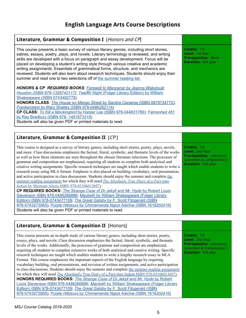# **English Language Arts Course Descriptions**

| Literature, Grammar & Composition I [Honors and CP]                                                                                                                                                                                                                                                                                                                                                                                                                                                                                                                                                                              |                                                                                                    |
|----------------------------------------------------------------------------------------------------------------------------------------------------------------------------------------------------------------------------------------------------------------------------------------------------------------------------------------------------------------------------------------------------------------------------------------------------------------------------------------------------------------------------------------------------------------------------------------------------------------------------------|----------------------------------------------------------------------------------------------------|
| This course presents a basic survey of various literary genres, including short stories,<br>satires, essays, poetry, plays, and novels. Literary terminology is reviewed, and writing<br>skills are developed with a focus on paragraph and essay development. Focus will be<br>placed on developing a student's writing style through various creative and academic<br>writing assignments. Essentials of grammatical forms, structure, and mechanics are<br>reviewed. Students will also learn about research techniques. Students should enjoy their<br>summer and read one to two selections off of the summer reading list. | Credits: 1.0<br><b>Level: 1st Year</b><br><b>Prerequisites: None</b><br><b>Duration: Full year</b> |
| <b>HONORS &amp; CP REQUIRED BOOKS: Farewell to Manzanar by Jeanna Wakatsuki</b><br>Houston (ISBN 978-1328742117); Twelfth Night (Folger Library Edition) by William<br>Shakespeare (ISBN 0743482778)<br><b>HONORS CLASS:</b> The House on Mango Street by Sandra Cisneros (ISBN 0679734772);<br>Frankenstein by Mary Shelley (ISBN 978-0486282114)<br>CP CLASS: To Kill a Mockingbird by Harper Lee (ISBN 978-044631789), Fahrenheit 451<br>by Ray Bradbury (ISBN 978-1451673319)<br>Students will also be given PDF or printed materials to read.                                                                               |                                                                                                    |
|                                                                                                                                                                                                                                                                                                                                                                                                                                                                                                                                                                                                                                  |                                                                                                    |
| Literature, Grammar & Composition II [CP]                                                                                                                                                                                                                                                                                                                                                                                                                                                                                                                                                                                        |                                                                                                    |

This course is designed as a survey of literary genres, including short stories, poetry, plays, novels, and more. Class discussions emphasize the factual, literal, symbolic, and thematic levels of the works as well as how these elements are seen throughout the chosen literature selections. The processes of grammar and composition are emphasized, requiring all students to complete both analytical and creative writing assignments. Specific research techniques are taught which enable students to write a research essay using MLA format. Emphasis is also placed on building vocabulary, oral presentation, and active participation in class discussions. Students should enjoy [the](https://drive.google.com/file/d/1eDKUnEzIapT49-RBSAdhT_kT2zcFOYUJ/view?usp=sharing) summer and complete the summer reading [assignment](https://drive.google.com/file/d/1eDKUnEzIapT49-RBSAdhT_kT2zcFOYUJ/view?usp=sharing) for which they will need *The [Absolutely](https://www.amazon.com/Absolutely-True-Diary-Part-Time-Indian/dp/0316013692/ref=sr_1_1?s=books&ie=UTF8&qid=1497880901&sr=1-1&keywords=9780316013697) True Diary of a Part-time [Indian](https://www.amazon.com/Absolutely-True-Diary-Part-Time-Indian/dp/0316013692/ref=sr_1_1?s=books&ie=UTF8&qid=1497880901&sr=1-1&keywords=9780316013697)* by Sherman Alexie ISBN [978-03106013697\)](https://www.amazon.com/Absolutely-True-Diary-Part-Time-Indian/dp/0316013692/ref=sr_1_1?s=books&ie=UTF8&qid=1497880901&sr=1-1&keywords=9780316013697). **CP REQUIRED BOOKS:** *The Strange Case of [Dr.Jekyll](https://www.amazon.com/s/ref=nb_sb_noss?url=search-alias%3Dstripbooks&field-keywords=978-0486266886) and Mr. Hyde* by [Robert](https://www.amazon.com/s/ref=nb_sb_noss?url=search-alias%3Dstripbooks&field-keywords=978-0486266886) Louis Stevenson ISBN [978-0486266886;](https://www.amazon.com/s/ref=nb_sb_noss?url=search-alias%3Dstripbooks&field-keywords=978-0486266886) *[Macbeth](https://www.amazon.com/Macbeth-Folger-Shakespeare-Library-William/dp/0743477103/ref=sr_1_1?s=books&ie=UTF8&qid=1529535896&sr=1-1&keywords=9780743477109&dpID=51wjSW5Y8sL&preST=_SY291_BO1,204,203,200_QL40_&dpSrc=srch)* by William [Shakespeare](https://www.amazon.com/Macbeth-Folger-Shakespeare-Library-William/dp/0743477103/ref=sr_1_1?s=books&ie=UTF8&qid=1529535896&sr=1-1&keywords=9780743477109&dpID=51wjSW5Y8sL&preST=_SY291_BO1,204,203,200_QL40_&dpSrc=srch) (Folger Library Edition) ISBN [978-0743477109;](https://www.amazon.com/Macbeth-Folger-Shakespeare-Library-William/dp/0743477103/ref=sr_1_1?s=books&ie=UTF8&qid=1529535896&sr=1-1&keywords=9780743477109&dpID=51wjSW5Y8sL&preST=_SY291_BO1,204,203,200_QL40_&dpSrc=srch) *The Great [Gatsby](https://www.amazon.com/Great-Gatsby-F-Scott-Fitzgerald/dp/0743273567/ref=sr_1_1?s=books&ie=UTF8&qid=1497881374&sr=1-1&keywords=9780743273565)* by F. Scott [Fitzgerald](https://www.amazon.com/Great-Gatsby-F-Scott-Fitzgerald/dp/0743273567/ref=sr_1_1?s=books&ie=UTF8&qid=1497881374&sr=1-1&keywords=9780743273565) (ISBN [978-0743273565\)](https://www.amazon.com/Great-Gatsby-F-Scott-Fitzgerald/dp/0743273567/ref=sr_1_1?s=books&ie=UTF8&qid=1497881374&sr=1-1&keywords=9780743273565); *Purple [Hibiscus](https://www.amazon.com/Purple-Hibiscus-Chimamanda-Ngozi-Adichie/dp/1616202416/ref=tmm_pap_swatch_0?_encoding=UTF8&qid=&sr=)* by [Chimamanda](https://www.amazon.com/Purple-Hibiscus-Chimamanda-Ngozi-Adichie/dp/1616202416/ref=tmm_pap_swatch_0?_encoding=UTF8&qid=&sr=) Ngozi Adichie (ISBN [1616202416\)](https://www.amazon.com/Purple-Hibiscus-Chimamanda-Ngozi-Adichie/dp/1616202416/ref=tmm_pap_swatch_0?_encoding=UTF8&qid=&sr=) Students will also be given PDF or printed materials to read.

## **Literature, Grammar & Composition II** [Honors]

This course presents an in-depth study of various literary genres, including short stories, poetry, essays, plays, and novels. Class discussion emphasizes the factual, literal, symbolic, and thematic levels of the works. Additionally, the processes of grammar and composition are emphasized, requiring all students to complete extensive works of both analytical and creative writing. Specific research techniques are taught which enables students to write a lengthy research essay in MLA Format. This course emphasizes the important aspects of the English language by requiring vocabulary building, oral presentations, and revision of written assignments, and active participation in class discussions. Students should enjoy the summer and complete the summer reading [assignment](https://drive.google.com/file/d/1eDKUnEzIapT49-RBSAdhT_kT2zcFOYUJ/view?usp=sharing) for which they will need The Absolutely True Diary of a Part-time Indian ISBN [978-03106013697\).](https://www.amazon.com/Absolutely-True-Diary-Part-Time-Indian/dp/0316013692/ref=sr_1_1?s=books&ie=UTF8&qid=1497880901&sr=1-1&keywords=9780316013697) **HONORS REQUIRED BOOKS:** *The Strange Case of [Dr.Jekyll](https://www.amazon.com/s/ref=nb_sb_noss?url=search-alias%3Dstripbooks&field-keywords=978-0486266886) and Mr. Hyde* by [Robert](https://www.amazon.com/s/ref=nb_sb_noss?url=search-alias%3Dstripbooks&field-keywords=978-0486266886) Louis Stevenson ISBN [978-0486266886;](https://www.amazon.com/s/ref=nb_sb_noss?url=search-alias%3Dstripbooks&field-keywords=978-0486266886) *[Macbeth](https://www.amazon.com/Macbeth-Folger-Shakespeare-Library-William/dp/0743477103/ref=sr_1_1?s=books&ie=UTF8&qid=1529535896&sr=1-1&keywords=9780743477109&dpID=51wjSW5Y8sL&preST=_SY291_BO1,204,203,200_QL40_&dpSrc=srch)* by William [Shakespeare](https://www.amazon.com/Macbeth-Folger-Shakespeare-Library-William/dp/0743477103/ref=sr_1_1?s=books&ie=UTF8&qid=1529535896&sr=1-1&keywords=9780743477109&dpID=51wjSW5Y8sL&preST=_SY291_BO1,204,203,200_QL40_&dpSrc=srch) (Folger Library Edition) ISBN [978-0743477109;](https://www.amazon.com/Macbeth-Folger-Shakespeare-Library-William/dp/0743477103/ref=sr_1_1?s=books&ie=UTF8&qid=1529535896&sr=1-1&keywords=9780743477109&dpID=51wjSW5Y8sL&preST=_SY291_BO1,204,203,200_QL40_&dpSrc=srch) *The Great [Gatsby](https://www.amazon.com/Great-Gatsby-F-Scott-Fitzgerald/dp/0743273567/ref=sr_1_1?s=books&ie=UTF8&qid=1497881374&sr=1-1&keywords=9780743273565)* by F. Scott [Fitzgerald](https://www.amazon.com/Great-Gatsby-F-Scott-Fitzgerald/dp/0743273567/ref=sr_1_1?s=books&ie=UTF8&qid=1497881374&sr=1-1&keywords=9780743273565) (ISBN [978-0743273565\)](https://www.amazon.com/Great-Gatsby-F-Scott-Fitzgerald/dp/0743273567/ref=sr_1_1?s=books&ie=UTF8&qid=1497881374&sr=1-1&keywords=9780743273565); *Purple [Hibiscus](https://www.amazon.com/Purple-Hibiscus-Chimamanda-Ngozi-Adichie/dp/1616202416/ref=tmm_pap_swatch_0?_encoding=UTF8&qid=&sr=)* by [Chimamanda](https://www.amazon.com/Purple-Hibiscus-Chimamanda-Ngozi-Adichie/dp/1616202416/ref=tmm_pap_swatch_0?_encoding=UTF8&qid=&sr=) Ngozi Adichie (ISBN [1616202416\)](https://www.amazon.com/Purple-Hibiscus-Chimamanda-Ngozi-Adichie/dp/1616202416/ref=tmm_pap_swatch_0?_encoding=UTF8&qid=&sr=)

**Credits:** 1.0

**Credits:** 1.0 **Level:** 2nd Year

**Prerequisites:** Literature, Grammar & Composition I **Duration:** Full year

**Level:** 2nd Year **Prerequisites:** Literature, Grammar & Composition I **Duration:** Full year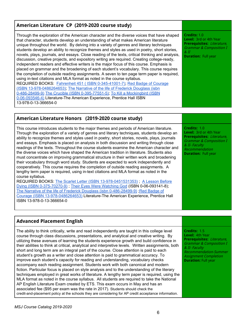| American Literature CP (2019-2020 course study)                                                                                                                                                                                                                                                                                                                                                                                                                                                                                                                                                                                                                                                                                                                                                                                                                                                                                                                                                                                                                                                                                                                                                                                                                                                    |                                                                                                                                                                     |
|----------------------------------------------------------------------------------------------------------------------------------------------------------------------------------------------------------------------------------------------------------------------------------------------------------------------------------------------------------------------------------------------------------------------------------------------------------------------------------------------------------------------------------------------------------------------------------------------------------------------------------------------------------------------------------------------------------------------------------------------------------------------------------------------------------------------------------------------------------------------------------------------------------------------------------------------------------------------------------------------------------------------------------------------------------------------------------------------------------------------------------------------------------------------------------------------------------------------------------------------------------------------------------------------------|---------------------------------------------------------------------------------------------------------------------------------------------------------------------|
| Through the exploration of the American character and the diverse voices that have shaped<br>that character, students develop an understanding of what makes American literature<br>unique throughout the world. By delving into a variety of genres and literary techniques<br>students develop an ability to recognize themes and styles as used in poetry, short stories,<br>novels, plays, journals, and essays. Close reading of the texts, critical thinking and analysis,<br>discussion, creative projects, and expository writing are required. Creating college-ready,<br>independent readers and effective writers is the major focus of this course. Emphasis is<br>placed on grammar and the broadening of each student's vocabulary. This course requires<br>the completion of outside reading assignments. A seven to ten page term paper is required,<br>using in-text citations and MLA format as noted in the course syllabus.<br>REQUIRED BOOKS: Fahrenheit 451 ( ISBN 0-345-41001-7); Red Badge of Courage<br>(ISBN 13-978-0486264653); The Narrative of the life of Frederick Douglass (isbn<br>0-486-28499-9) The Crucible (ISBN 0-395-77551-5); To Kill a Mockingbird (ISBN<br>0-06-093546-4) Literature-The American Experience, Prentice Hall ISBN<br>13-978-0-13-366654-0 | Credits: 1.0<br><b>Level:</b> 3rd or 4th Year<br>Prerequisites: Literature,<br><b>Grammar &amp; Composition I</b><br>$\mathcal{L}$ II<br><b>Duration: Full year</b> |

| American Literature Honors (2019-2020 course study)                                                                                                                                                                                                                                                                                                                                                                                                                                                                                                                                                                                                                                                                                                                                                                                                                                                                                                                                                                                                                                                                                                                                                                                                                                                                |                                                                                                                                                                                    |
|--------------------------------------------------------------------------------------------------------------------------------------------------------------------------------------------------------------------------------------------------------------------------------------------------------------------------------------------------------------------------------------------------------------------------------------------------------------------------------------------------------------------------------------------------------------------------------------------------------------------------------------------------------------------------------------------------------------------------------------------------------------------------------------------------------------------------------------------------------------------------------------------------------------------------------------------------------------------------------------------------------------------------------------------------------------------------------------------------------------------------------------------------------------------------------------------------------------------------------------------------------------------------------------------------------------------|------------------------------------------------------------------------------------------------------------------------------------------------------------------------------------|
| This course introduces students to the major themes and periods of American literature.<br>Through the exploration of a variety of genres and literary techniques, students develop an<br>ability to recognize themes and styles used in poetry, short stories, novels, plays, journals<br>and essays. Emphasis is placed on analysis in both discussion and writing through close<br>readings of the texts. Throughout the course students examine the American character and<br>the diverse voices which have shaped the American tradition in literature. Students also<br>must concentrate on improving grammatical structure in their written work and broadening<br>their vocabulary through word study. Students are expected to work independently and<br>cooperatively. This course requires the completion of outside reading assignments. A<br>lengthy term paper is required, using in-text citations and MLA format as noted in the<br>course syllabus.<br>REQUIRED BOOKS: The Scarlet Letter (ISBN 13-978-0451531353); A Lesson Before<br>Dying (ISBN 0-375-70270-9); Their Eyes Were Watching God (ISBN 0-06-093141-8);<br>The Narrative of the life of Frederick Douglass (isbn 0-486-28499-9); Red Badge of<br>Courage (ISBN 13-978-0486264653) Literature-The American Experience, Prentice Hall | Credits: 1.0<br><b>Level:</b> 3rd or 4th Year<br>Prerequisites: Literature,<br><b>Grammar &amp; Composition I</b><br>& II- Faculty<br>Recommendation<br><b>Duration: Full year</b> |

ISBN 13-978-0-13-366654-0

#### **Advanced Placement English**

The ability to think critically, write and read independently are taught in this college level course through class discussions, presentations, and analytical and creative writing. By utilizing these avenues of learning the students experience growth and build confidence in their abilities to think at critical, analytical and interpretive levels. Written assignments, both short and long term are an integral part of the course. Close attention is paid to each student's growth as a writer and close attention is paid to grammatical accuracy. To improve each student's capacity for reading and understanding, vocabulary checks accompany each reading assignment. Students work with both canonical and modern fiction. Particular focus is placed on style analysis and to the understanding of the literary techniques employed in great works of literature. A lengthy term paper is required, using the MLA format as noted in the course syllabus. All students are required to take the National AP English Literature Exam created by ETS. This exam occurs in May and has an associated fee (\$95 per exam was the rate in 2017). Students should check the credit-and-placement policy at the schools they are considering for AP credit acceptance information.

**Credits:** 1.5 **Level:** 4th Year **Prerequisites:** Literature, Grammar & Composition I & II- Faculty Recommendation-Summer Assignment Completion **Duration:** Full year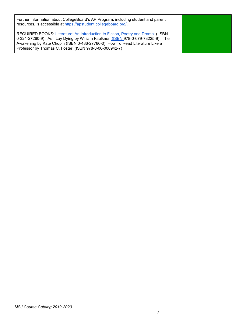Further information about CollegeBoard's AP Program, including student and parent resources, is accessible at <https://apstudent.collegeboard.org/>.

REQUIRED BOOKS: Literature: An [Introduction](https://www.amazon.com/s/ref=nb_sb_noss?url=search-alias%3Dstripbooks&field-keywords=0-321-24551-2) to Fiction, Poetry and Drama (ISBN 0-321-27260-9); As I Lay Dying by William Faulkner [\(ISBN](https://www.amazon.com/s/ref=nb_sb_noss?url=search-alias%3Daps&field-keywords=0-375-70270-9) 978-0-679-73225-9); The Awakening by Kate Chopin (ISBN 0-486-27786-0); How To Read Literature Like a Professor by Thomas C. Foster (ISBN 978-0-06-000942-7)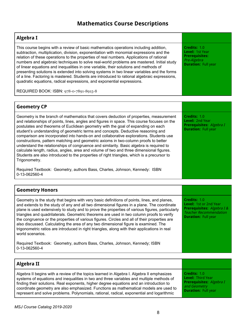# **Mathematics Course Descriptions**

| Algebra I                                                                                                                                                                                                                                                                                                                                                                                                                                                                                                                                                                                                                                                                                                                                                                                                                                           |                                                                                                       |  |
|-----------------------------------------------------------------------------------------------------------------------------------------------------------------------------------------------------------------------------------------------------------------------------------------------------------------------------------------------------------------------------------------------------------------------------------------------------------------------------------------------------------------------------------------------------------------------------------------------------------------------------------------------------------------------------------------------------------------------------------------------------------------------------------------------------------------------------------------------------|-------------------------------------------------------------------------------------------------------|--|
| This course begins with a review of basic mathematics operations including addition,<br>subtraction, multiplication, division, exponentiation with monomial expressions and the<br>relation of these operations to the properties of real numbers. Applications of rational<br>numbers and algebraic techniques to solve real-world problems are mastered. Initial study<br>of linear equations and inequalities in one variable, their solutions and methods of<br>presenting solutions is extended into solving systems in two linear variables and the forms<br>of a line. Factoring is mastered. Students are introduced to rational algebraic expressions,<br>quadratic equations, radical expressions, and exponential expressions.                                                                                                           | Credits: 1.0<br>Level: 1st Year<br><b>Prerequisites:</b><br>Pre-Algebra<br><b>Duration: Full year</b> |  |
| REQUIRED BOOK: ISBN: 978-0-7891-8915-8                                                                                                                                                                                                                                                                                                                                                                                                                                                                                                                                                                                                                                                                                                                                                                                                              |                                                                                                       |  |
|                                                                                                                                                                                                                                                                                                                                                                                                                                                                                                                                                                                                                                                                                                                                                                                                                                                     |                                                                                                       |  |
| <b>Geometry CP</b>                                                                                                                                                                                                                                                                                                                                                                                                                                                                                                                                                                                                                                                                                                                                                                                                                                  |                                                                                                       |  |
| Geometry is the branch of mathematics that covers deduction of properties, measurement<br>and relationships of points, lines, angles and figures in space. This course focuses on the<br>postulates and theorems of Euclidean geometry with the goal of expanding on each<br>student's understanding of geometric terms and concepts. Deductive reasoning and<br>comparison are incorporated into hands-on and collaborative explorations. Students use<br>constructions, pattern matching and geometric axioms in two-column proofs to better<br>understand the relationships of congruence and similarity. Basic algebra is required to<br>calculate length, radius, angles, area and volume of two and three dimensional figures.<br>Students are also introduced to the properties of right triangles, which is a precursor to<br>Trigonometry. | Credits: 1.0<br><b>Level: 2nd Year</b><br>Prerequisites: Algebra I<br><b>Duration: Full year</b>      |  |
| Required Textbook: Geometry, authors Bass, Charles, Johnson, Kennedy: ISBN<br>0-13-062560-4                                                                                                                                                                                                                                                                                                                                                                                                                                                                                                                                                                                                                                                                                                                                                         |                                                                                                       |  |

| <b>Geometry Honors</b>                                                                                                                                                                                                                                                                                                                                                                                                                                                                                                                                                                                                                                                                               |                                                                                                                                     |
|------------------------------------------------------------------------------------------------------------------------------------------------------------------------------------------------------------------------------------------------------------------------------------------------------------------------------------------------------------------------------------------------------------------------------------------------------------------------------------------------------------------------------------------------------------------------------------------------------------------------------------------------------------------------------------------------------|-------------------------------------------------------------------------------------------------------------------------------------|
| Geometry is the study that begins with very basic definitions of points, lines, and planes,<br>and extends to the study of any and all two dimensional figures in a plane. The coordinate<br>plane is used extensively to study and to prove the properties of various figures, particularly<br>triangles and quadrilaterals. Geometric theorems are used in two column proofs to verify<br>the congruence or the properties of various figures. Circles and all of their properties are<br>also discussed. Calculating the area of any two dimensional figure is examined. The<br>trigonometric ratios are introduced in right triangles, along with their applications in real<br>world scenarios. | Credits: 1.0<br>Level: 1st or 2nd Year<br>Prerequisites: Algebra I &<br><b>Teacher Recommendation</b><br><b>Duration: Full year</b> |
| Required Textbook: Geometry, authors Bass, Charles, Johnson, Kennedy; ISBN<br>0-13-062560-4                                                                                                                                                                                                                                                                                                                                                                                                                                                                                                                                                                                                          |                                                                                                                                     |

| Algebra II                                                                                |                                 |
|-------------------------------------------------------------------------------------------|---------------------------------|
| Algebra II begins with a review of the topics learned in Algebra I. Algebra II emphasizes | Credits: 1.0                    |
| systems of equations and inequalities in two and three variables and multiple methods of  | <b>Level: Third Year</b>        |
| finding their solutions. Real exponents, higher degree equations and an introduction to   | <b>Prerequisites:</b> Algebra I |
| coordinate geometry are also emphasized. Functions as mathematical models are used to     | and Geometry                    |
| represent and solve problems. Polynomials, rational, radical, exponential and logarithmic | <b>Duration: Full year</b>      |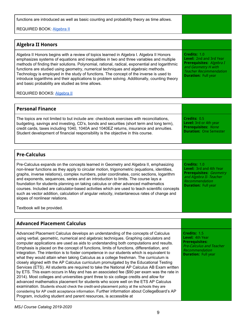functions are introduced as well as basic counting and probability theory as time allows.

REQUIRED BOOK: [Algebra](https://www.amazon.com/Algebra-2-AMSCO/dp/1680644785/ref=sr_1_1?s=books&ie=UTF8&qid=1497886253&sr=1-1&keywords=9781680644784) II

| <b>Algebra II Honors</b>                                                                                                                                                                                                                                                                                                                                                                                                                                                                                                                                                                                                     |                                                                                                                                                           |
|------------------------------------------------------------------------------------------------------------------------------------------------------------------------------------------------------------------------------------------------------------------------------------------------------------------------------------------------------------------------------------------------------------------------------------------------------------------------------------------------------------------------------------------------------------------------------------------------------------------------------|-----------------------------------------------------------------------------------------------------------------------------------------------------------|
| Algebra II Honors begins with a review of topics learned in Algebra I. Algebra II Honors<br>emphasizes systems of equations and inequalities in two and three variables and multiple<br>methods of finding their solutions. Polynomial, rational, radical, exponential and logarithmic<br>functions are studied using geometry, numerical techniques and algebraic methods.<br>Technology is employed in the study of functions. The concept of the inverse is used to<br>introduce logarithms and their applications to problem solving. Additionally, counting theory<br>and basic probability are studied as time allows. | Credits: 1.0<br>Level: 2nd and 3rd Year<br>Prerequisites: Algebra I<br>and Geometry H with<br><b>Teacher Recommendation</b><br><b>Duration: Full year</b> |
| <b>REQUIRED BOOKS: Algebra II</b>                                                                                                                                                                                                                                                                                                                                                                                                                                                                                                                                                                                            |                                                                                                                                                           |

| <b>Personal Finance</b>                                                                  |                               |
|------------------------------------------------------------------------------------------|-------------------------------|
| The topics are not limited to but include are: checkbook exercises with reconciliations, | Credits: 0.5                  |
| budgeting, savings and investing, CD's, bonds and securities (short term and long term), | <b>Level:</b> 3rd or 4th year |
| credit cards, taxes including 1040, 1040A and 1040EZ returns, insurance and annuities.   | <b>Prerequisites: None</b>    |
| Student development of financial responsibility is the objective in this course.         | <b>Duration: One Semester</b> |

| <b>Pre-Calculus</b>                                                                                                                                                                                                                                                                                                                                                                                                                                                                                                                                                                                                                                                                           |                                                                                                                                                      |
|-----------------------------------------------------------------------------------------------------------------------------------------------------------------------------------------------------------------------------------------------------------------------------------------------------------------------------------------------------------------------------------------------------------------------------------------------------------------------------------------------------------------------------------------------------------------------------------------------------------------------------------------------------------------------------------------------|------------------------------------------------------------------------------------------------------------------------------------------------------|
| Pre-Calculus expands on the concepts learned in Geometry and Algebra II, emphasizing<br>non-linear functions as they apply to circular motion, trigonometric (equations, identities,<br>graphs, inverse relations), complex numbers, polar coordinates, conic sections, logarithm<br>and exponents, sequences, series and an introduction to limits. The course lays a<br>foundation for students planning on taking calculus or other advanced mathematics<br>courses. Included are calculator-based activities which are used to teach scientific concepts<br>such as vector addition, calculation of angular velocity, instantaneous rates of change and<br>slopes of nonlinear relations. | Credits: 1.0<br>Level: 3rd and 4th Year<br><b>Prerequisites: Geometry</b><br>and Algebra II- Teacher<br>Recommendation<br><b>Duration: Full year</b> |
| Textbook will be provided.                                                                                                                                                                                                                                                                                                                                                                                                                                                                                                                                                                                                                                                                    |                                                                                                                                                      |

| <b>Advanced Placement Calculus</b>                                                                                                                                                                                                                                                                                                                                                                                                                                                                                                                                                                                                                                                                                                                                                                                                                                                                                                                                                                                                                                                                                                                                                                                                                                                            |                                                                                                                                             |
|-----------------------------------------------------------------------------------------------------------------------------------------------------------------------------------------------------------------------------------------------------------------------------------------------------------------------------------------------------------------------------------------------------------------------------------------------------------------------------------------------------------------------------------------------------------------------------------------------------------------------------------------------------------------------------------------------------------------------------------------------------------------------------------------------------------------------------------------------------------------------------------------------------------------------------------------------------------------------------------------------------------------------------------------------------------------------------------------------------------------------------------------------------------------------------------------------------------------------------------------------------------------------------------------------|---------------------------------------------------------------------------------------------------------------------------------------------|
| Advanced Placement Calculus develops an understanding of the concepts of Calculus<br>using verbal, geometric, numerical and algebraic techniques. Graphing calculators and<br>computer applications are used as aids to understanding both computations and results.<br>Emphasis is placed on the concept of functions, limits of functions, differentiation, and<br>integration. The intention is to foster competence in our students which is equivalent to<br>what they would attain when taking Calculus as a college freshman. The curriculum is<br>closely aligned with the AP Calculus curriculum promulgated by the Educational Testing<br>Services (ETS). All students are required to take the National AP Calculus AB Exam written<br>by ETS. This exam occurs in May and has an associated fee (\$90 per exam was the rate in<br>2014). Most colleges and universities grant three to six college credits and allow for<br>advanced mathematics placement for students who score well on the ETS AP Calculus<br>examination. Students should check the credit-and-placement policy at the schools they are<br>considering for AP credit acceptance information. Further information about CollegeBoard's AP<br>Program, including student and parent resources, is accessible at | Credits: 1.5<br>Level: 4th Year<br><b>Prerequisites:</b><br><b>Pre-Calculus and Teacher</b><br>Recommendation<br><b>Duration: Full year</b> |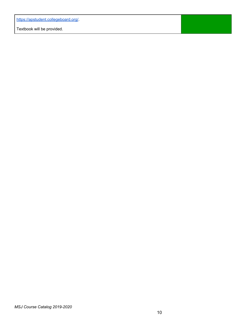<https://apstudent.collegeboard.org/>.

Textbook will be provided.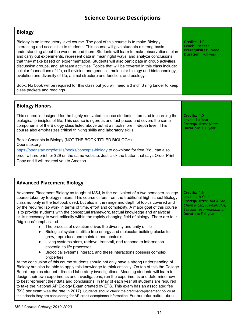# **Science Course Descriptions**

| <b>Biology</b>                                                                                                                                                                                                                                                                                                                                                                                                                                                                                                                                                                                                                                                                                                                                                                                                                                                                          |                                                                                                    |
|-----------------------------------------------------------------------------------------------------------------------------------------------------------------------------------------------------------------------------------------------------------------------------------------------------------------------------------------------------------------------------------------------------------------------------------------------------------------------------------------------------------------------------------------------------------------------------------------------------------------------------------------------------------------------------------------------------------------------------------------------------------------------------------------------------------------------------------------------------------------------------------------|----------------------------------------------------------------------------------------------------|
| Biology is an introductory level course. The goal of this course is to make Biology<br>interesting and accessible to students. This course will give students a strong basic<br>understanding about the world around them. Students will learn to make observations, plan<br>and carry out experiments, represent data in meaningful ways, and analyze conclusions<br>that they make based on experimentation. Students will also participate in group activities,<br>discussion groups, and lab team activities. Topics that will be covered in this class include:<br>cellular foundations of life, cell division and genetics, molecular biology and biotechnology,<br>evolution and diversity of life, animal structure and function, and ecology.<br>Book: No book will be required for this class but you will need a 3 inch 3 ring binder to keep<br>class packets and readings. | Credits: 1.0<br><b>Level: 1st Year</b><br><b>Prerequisites: None</b><br><b>Duration: Full year</b> |
|                                                                                                                                                                                                                                                                                                                                                                                                                                                                                                                                                                                                                                                                                                                                                                                                                                                                                         |                                                                                                    |
| <b>Biology Honors</b>                                                                                                                                                                                                                                                                                                                                                                                                                                                                                                                                                                                                                                                                                                                                                                                                                                                                   |                                                                                                    |
| This course is designed for the highly motivated science students interested in learning the<br>biological principles of life. This course is rigorous and fast-paced and covers the same<br>components of the Biology class listed above but at a much more in-depth level. This<br>course also emphasizes critical thinking skills and laboratory skills.                                                                                                                                                                                                                                                                                                                                                                                                                                                                                                                             | Credits: 1.0<br><b>Level: 1st Year</b><br><b>Prerequisites: None</b><br><b>Duration: Full year</b> |

Book: Concepts in Biology (NOT THE BOOK TITLED BIOLOGY) Openstax.org

<https://openstax.org/details/books/concepts-biology> to download for free. You can also order a hard print for \$29 on the same website. Just click the button that says Order Print Copy and it will redirect you to Amazon

| <b>Advanced Placement Biology</b>                                                                                                                                                                                                                                                                                                                                                                                                                                                                                                                                                                                |                                                                                                                                                                 |
|------------------------------------------------------------------------------------------------------------------------------------------------------------------------------------------------------------------------------------------------------------------------------------------------------------------------------------------------------------------------------------------------------------------------------------------------------------------------------------------------------------------------------------------------------------------------------------------------------------------|-----------------------------------------------------------------------------------------------------------------------------------------------------------------|
| Advanced Placement Biology as taught at MSJ, is the equivalent of a two-semester college<br>course taken by Biology majors. This course differs from the traditional high school Biology<br>class not only in the textbook used, but also in the range and depth of topics covered and<br>by the required lab work in terms of time, effort and complexity. A major goal of this course<br>is to provide students with the conceptual framework, factual knowledge and analytical<br>skills necessary to work critically within the rapidly changing field of biology. There are four<br>"big ideas" emphasized: | Credits: 1.5<br>Level: 4th Year<br><b>Prerequisites:</b> Bio & Lab,<br>Chem & Lab, Pre-Calculus,<br><b>Teacher recommendation</b><br><b>Duration: Full year</b> |
| The process of evolution drives the diversity and unity of life                                                                                                                                                                                                                                                                                                                                                                                                                                                                                                                                                  |                                                                                                                                                                 |
| Biological systems utilize free energy and molecular building blocks to<br>$\bullet$                                                                                                                                                                                                                                                                                                                                                                                                                                                                                                                             |                                                                                                                                                                 |
| grow, reproduce and maintain homeostasis                                                                                                                                                                                                                                                                                                                                                                                                                                                                                                                                                                         |                                                                                                                                                                 |
| Living systems store, retrieve, transmit, and respond to information<br>$\bullet$                                                                                                                                                                                                                                                                                                                                                                                                                                                                                                                                |                                                                                                                                                                 |
| essential to life processes                                                                                                                                                                                                                                                                                                                                                                                                                                                                                                                                                                                      |                                                                                                                                                                 |
| Biological systems interact, and these interactions possess complex<br>$\bullet$                                                                                                                                                                                                                                                                                                                                                                                                                                                                                                                                 |                                                                                                                                                                 |
| properties.                                                                                                                                                                                                                                                                                                                                                                                                                                                                                                                                                                                                      |                                                                                                                                                                 |
| At the conclusion of this course students should not only have a strong understanding of                                                                                                                                                                                                                                                                                                                                                                                                                                                                                                                         |                                                                                                                                                                 |
| Biology but also be able to apply this knowledge to think critically. On top of this the College                                                                                                                                                                                                                                                                                                                                                                                                                                                                                                                 |                                                                                                                                                                 |
| Board requires student- directed laboratory investigations. Meaning students will learn to                                                                                                                                                                                                                                                                                                                                                                                                                                                                                                                       |                                                                                                                                                                 |
| design their own experiments and investigations, run the experiments and determine how                                                                                                                                                                                                                                                                                                                                                                                                                                                                                                                           |                                                                                                                                                                 |
| to best represent their data and conclusions. In May of each year all students are required                                                                                                                                                                                                                                                                                                                                                                                                                                                                                                                      |                                                                                                                                                                 |
| to take the National AP Biology Exam created by ETS. This exam has an associated fee                                                                                                                                                                                                                                                                                                                                                                                                                                                                                                                             |                                                                                                                                                                 |
| (\$93 per exam was the rate in 2017). Students should check the credit-and-placement policy at                                                                                                                                                                                                                                                                                                                                                                                                                                                                                                                   |                                                                                                                                                                 |
| the schools they are considering for AP credit acceptance information. Further information about                                                                                                                                                                                                                                                                                                                                                                                                                                                                                                                 |                                                                                                                                                                 |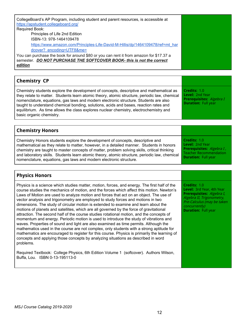| CollegeBoard's AP Program, including student and parent resources, is accessible at<br>https://apstudent.collegeboard.org/<br>Required Book:                               |  |
|----------------------------------------------------------------------------------------------------------------------------------------------------------------------------|--|
| Principles of Life 2nd Edition                                                                                                                                             |  |
| ISBN-13: 978-1464109478                                                                                                                                                    |  |
| https://www.amazon.com/Principles-Life-David-M-Hillis/dp/1464109478/ref=mt_har                                                                                             |  |
| dcover? encoding=UTF8&me=                                                                                                                                                  |  |
| You can purchase the book for around \$80 or you can rent it from amazon for \$17.37 a<br>semester. DO NOT PURCHASE THE SOFTCOVER BOOK- this is not the correct<br>edition |  |
|                                                                                                                                                                            |  |

| <b>Chemistry CP</b>                                                                                                                                                                                                                                                                                                                                                                                                                                                                             |                                                                                                         |
|-------------------------------------------------------------------------------------------------------------------------------------------------------------------------------------------------------------------------------------------------------------------------------------------------------------------------------------------------------------------------------------------------------------------------------------------------------------------------------------------------|---------------------------------------------------------------------------------------------------------|
| Chemistry students explore the development of concepts, descriptive and mathematical as<br>they relate to matter. Students learn atomic theory, atomic structure, periodic law, chemical<br>nomenclature, equations, gas laws and modern electronic structure. Students are also<br>taught to understand chemical bonding, solutions, acids and bases, reaction rates and<br>equilibrium. As time allows the class explores nuclear chemistry, electrochemistry and<br>basic organic chemistry. | Credits: 1.0<br><b>Level: 2nd Year</b><br><b>Prerequisites:</b> Algebra I<br><b>Duration: Full year</b> |

| <b>Chemistry Honors</b>                                                                       |                               |
|-----------------------------------------------------------------------------------------------|-------------------------------|
| Chemistry Honors students explore the development of concepts, descriptive and                | Credits: 1.0                  |
| mathematical as they relate to matter, however, in a detailed manner. Students in honors      | <b>Level: 2nd Year</b>        |
| chemistry are taught to master concepts of matter, problem solving skills, critical thinking  | Prerequisites: Algebra I,     |
| and laboratory skills. Students learn atomic theory, atomic structure, periodic law, chemical | <b>Teacher Recommendation</b> |
| nomenclature, equations, gas laws and modern electronic structure.                            | <b>Duration: Full year</b>    |

#### **Physics Honors**

Physics is a science which studies matter, motion, forces, and energy. The first half of the course studies the mechanics of motion, and the forces which affect this motion. Newton's Laws of Motion are used to analyze motion and forces that act on an object. The use of vector analysis and trigonometry are employed to study forces and motions in two dimensions. The study of circular motion is extended to examine and learn about the motions of planets and satellites, which are all governed by the force of gravitational attraction. The second half of the course studies rotational motion, and the concepts of momentum and energy. Periodic motion is used to introduce the study of vibrations and waves. Properties of sound and light are also examined as time permits. Although the mathematics used in the course are not complex, only students with a strong aptitude for mathematics are encouraged to register for this course. Physics is primarily the learning of concepts and applying those concepts by analyzing situations as described in word problems.

Required Textbook: College Physics, 6th Edition Volume 1 (softcover). Authors Wilson, Buffa, Lou. ISBN 0-13-195113-0

**Credits:** 1.0 **Level:** 3rd Year, 4th Year **Prerequisites:** Algebra I, Algebra II, Trigonometry, Pre-Calculus (may be taken concurrently) **Duration:** Full year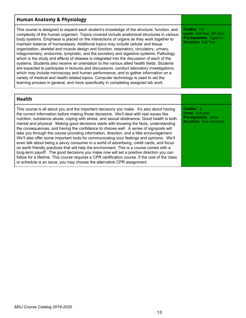#### **Human Anatomy & Physiology**

This course is designed to expand each student's knowledge of the structure, function, and complexity of the human organism. Topics covered include anatomical structures in various body systems. Emphasis is placed on the interactions of organs as they work together to maintain balance of homeostasis. Additional topics may include cellular and tissue organization, skeletal and muscle design and function, respiratory, circulatory, urinary, integumentary, endocrine, lymphatic, and the excretory and digestive systems. Pathology which is the study and effects of disease is integrated into the discussion of each of the systems. Students also receive an orientation to the various allied health fields. Students are expected to participate in lectures and discussions, conduct laboratory investigations, which may include microscopy and human performance, and to gather information on a variety of medical and health related topics. Computer technology is used to aid the learning process in general, and more specifically in completing assigned lab work.

**Credits:** 1.0 **Level:** 3rd Year, 4th Year **Prerequisites:** Algebra I **Duration:** Full Year

**Credits:** .5 **Level:** 2nd year **Prerequisites:** none **Duration:** One Semester

#### **Health**

This course is all about you and the important decisions you make. It's also about having the correct information before making those decisions. We'll deal with real issues like nutrition, substance abuse, coping with stress, and sexual abstinence. Good health is both mental and physical. Making good decisions starts with knowing the facts, understanding the consequences, and having the confidence to choose well. A series of signposts will take you through the course providing information, direction, and a little encouragement. We'll also offer some important tools for communicating your feelings and opinions. We'll even talk about being a savvy consumer in a world of advertising, credit cards, and focus on earth friendly practices that will help the environment. This is a course comes with a long-term payoff. The good decisions you make now will set a positive direction you can follow for a lifetime. This course requires a CPR certification course. If the cost of the class or schedule is an issue, you may choose the alternative CPR assignment.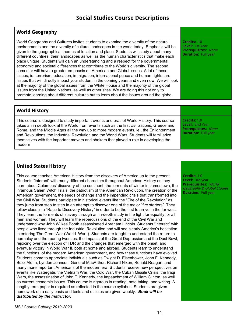# **Social Studies Course Descriptions**

#### **World Geography** World Geography and Cultures invites students to examine the diversity of the natural environments and the diversity of cultural landscapes in the world today. Emphasis will be given to the geographical themes of location and place. Students will study about many different countries, their landscapes as well as the human characteristics that make each place unique. Students will gain an understanding and a respect for the governmental, economic and societal differences that contribute to the World's diversity. The second semester will have a greater emphasis on American and Global issues. A lot of these issues, ie. terrorism, education, immigration, international peace and human rights, are issues that will directly impact your student in the coming years and even now. We will look at the majority of the global issues from the White House and the majority of the global issues from the United Nations, as well as other sites. We are doing this not only to promote learning about different cultures but to learn about the issues around the globe. **Credits:** 1.0 **Level:** 1st Year **Prerequisites:** None **Duration:** Full year

| <b>World History</b>                                                                                                                                                                                                                                                                                                                                                                                                                                                             |                                                                                             |
|----------------------------------------------------------------------------------------------------------------------------------------------------------------------------------------------------------------------------------------------------------------------------------------------------------------------------------------------------------------------------------------------------------------------------------------------------------------------------------|---------------------------------------------------------------------------------------------|
| This course is designed to study important events and eras of World History. This course<br>takes an in depth look at the World from events such as the first civilizations, Greece and<br>Rome, and the Middle Ages all the way up to more modern events, ie., the Enlightenment<br>and Revolutions, the Industrial Revolution and the World Wars. Students will familiarize<br>themselves with the important movers and shakers that played a role in developing the<br>modern | Credits: 1.0<br>Level: 2nd Year<br><b>Prerequisites: None</b><br><b>Duration: Full year</b> |

## **United States History**

This course teaches American History from the discovery of America up to the present. Students "interact" with many different characters throughout American History as they learn about Columbus' discovery of the continent, the torments of winter in Jamestown, the infamous Salem Witch Trials, the patriotism of the American Revolution, the creation of the American government, the seeds of change and the impending crisis that transformed into the Civil War. Students participate in historical events like the "Fire of the Revolution" as they jump from step to step in an attempt to discover one of the major "fire starters". They follow clues in a "Race to Discovery History" in order to be the first to arrive in the far west. They learn the torments of slavery through an in-depth study in the fight for equality for all men and women. They will learn the repercussions of the end of the Civil War and understand why John Wilkes Booth assassinated Abraham Lincoln. Students "interact" with people who lived through the Industrial Revolution and will see clearly America's hesitation in entering The Great War (World War I). Students are taught to understand the return to normalcy and the roaring twenties, the impacts of the Great Depression and the Dust Bowl, rejoicing over the election of FDR and the changes that emerged with the onset, and eventual victory in World War II, both at home and abroad. Students learn to understand the functions of the modern American government, and how these functions have evolved. Students come to appreciate individuals such as Dwight D. Eisenhower, John F. Kennedy, Buzz Aldrin, Lyndon Johnson, General MacArthur, Richard Nixon, Ronald Reagan, and many more important Americans of the modern era. Students receive new perspectives on events like Watergate, the Vietnam War, the Cold War, the Cuban Missile Crisis, the Iraqi Wars, the assassination of John F. Kennedy, the impeachment of William Clinton, as well as current economic issues. This course is rigorous in reading, note taking, and writing. A lengthy term paper is required as reflected in the course syllabus. Students are given homework on a daily basis and tests and quizzes are given weekly. *Book will be distributed by the Instructor.*

**Credits:** 1.0 **Level:** 3rd year **Prerequisites:** World Geography & Global Studies **Duration:** Full year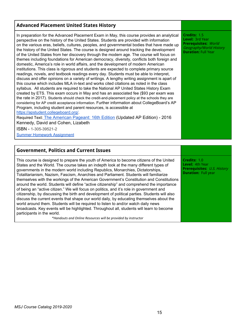#### **Advanced Placement United States History**

In preparation for the Advanced Placement Exam in May, this course provides an analytical perspective on the history of the United States. Students are provided with information on the various eras, beliefs, cultures, peoples, and governmental bodies that have made up the history of the United States. The course is designed around tracking the development of the United States from her discovery through the modern age. The course will focus on themes including foundations for American democracy, diversity, conflicts both foreign and domestic, America's role in world affairs, and the development of modern American institutions. This class is rigorous and students are expected to complete primary source readings, novels, and textbook readings every day. Students must be able to interpret, discuss and offer opinions on a variety of writings. A lengthy writing assignment is apart of this course which includes MLA in-text and works cited citations as noted in the class syllabus. All students are required to take the National AP United States History Exam created by ETS. This exam occurs in May and has an associated fee (\$93 per exam was the rate in 2017). Students should check the credit-and-placement policy at the schools they are considering for AP credit acceptance information. Further information about CollegeBoard's AP Program, including student and parent resources, is accessible at <https://apstudent.collegeboard.org/>.

Required Text[:](https://www.cengage.com/shop/isbn/9781305395213?urlLangId=-1&urlRequestType=Base&top_category=&partNumber=9781305395213&errorViewName=ProductDisplayErrorView&categoryId=&parent_category_rn=) The [American](https://www.cengage.com/shop/isbn/9781305395213?urlLangId=-1&urlRequestType=Base&top_category=&partNumber=9781305395213&errorViewName=ProductDisplayErrorView&categoryId=&parent_category_rn=) Pageant: 16th Edition (Updated AP Edition) - 2016 Kennedy, David and Cohen, Lizabeth

ISBN - 1-305-39521-2

Summer Homework [Assignment](https://docs.google.com/document/d/1Zl9tq8xB086IaJSr10Il03qr9a6XctpRZDZ31yFqXwM/edit?usp=sharing)

#### **Government, Politics and Current Issues**

This course is designed to prepare the youth of America to become citizens of the United States and the World. The course takes an indepth look at the many different types of governments in the modern world including Republics, Monarchies, Dictatorships, Totalitarianism, Nazism, Fascism, Anarchies and Parliament. Students will familiarize themselves with the workings of the American Government's Constitution and Constitutions around the world. Students will define "active citizenship" and comprehend the importance of being an "active citizen." We will focus on politics, and it's role in government and citizenship, by discussing the birth and development of political parties. Students will also discuss the current events that shape our world daily, by educating themselves about the world around them. Students will be required to listen to and/or watch daily news broadcasts. Key events will be highlighted. Throughout all, students will learn to become participants in the world.

*\*Handouts and Online Resources will be provided by instructor*

**Credits:** 1.5 **Level:** 3rd Year **Prerequisites:** World Geography/World History **Duration:** Full Year

**Credits:** 1.0 **Level:** 4th Year **Prerequisites:** U.S. History **Duration:** Full year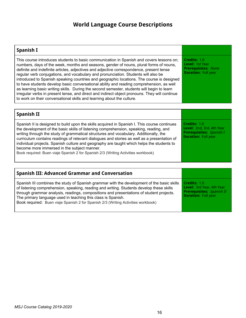# **World Language Course Descriptions**

| Spanish I                                                                                                                                                                                                                                                                                                                                                                                                                                                                                                                                                                                                                                                                                                                                                                                                                              |                                                                                             |
|----------------------------------------------------------------------------------------------------------------------------------------------------------------------------------------------------------------------------------------------------------------------------------------------------------------------------------------------------------------------------------------------------------------------------------------------------------------------------------------------------------------------------------------------------------------------------------------------------------------------------------------------------------------------------------------------------------------------------------------------------------------------------------------------------------------------------------------|---------------------------------------------------------------------------------------------|
| This course introduces students to basic communication in Spanish and covers lessons on;<br>numbers, days of the week, months and seasons, gender of nouns, plural forms of nouns,<br>definite and indefinite articles, adjectives and adjective correspondence, present tense<br>regular verb conjugations, and vocabulary and pronunciation. Students will also be<br>introduced to Spanish speaking countries and geographic locations. The course is designed<br>to have students develop basic conversational ability and reading comprehension, as well<br>as learning basic writing skills. During the second semester, students will begin to learn<br>irregular verbs in present tense, and direct and indirect object pronouns. They will continue<br>to work on their conversational skills and learning about the culture. | Credits: 1.0<br>Level: 1st Year<br><b>Prerequisites: None</b><br><b>Duration: Full year</b> |
|                                                                                                                                                                                                                                                                                                                                                                                                                                                                                                                                                                                                                                                                                                                                                                                                                                        |                                                                                             |

| Credits: 1.0<br>Spanish II is designed to build upon the skills acquired in Spanish I. This course continues<br>Level: 2nd, 3rd, 4th Year<br>the development of the basic skills of listening comprehension, speaking, reading, and<br><b>Prerequisites:</b> Spanish I<br>writing through the study of grammatical structures and vocabulary. Additionally, the<br><b>Duration: Full year</b><br>curriculum contains readings of relevant dialogues and stories as well as a presentation of<br>individual projects. Spanish culture and geography are taught which helps the students to |
|-------------------------------------------------------------------------------------------------------------------------------------------------------------------------------------------------------------------------------------------------------------------------------------------------------------------------------------------------------------------------------------------------------------------------------------------------------------------------------------------------------------------------------------------------------------------------------------------|
|                                                                                                                                                                                                                                                                                                                                                                                                                                                                                                                                                                                           |

| <b>Spanish III: Advanced Grammar and Conversation</b>                                                                                                                                                                                                                                                                                                                                                                                  |                                                                                                                    |
|----------------------------------------------------------------------------------------------------------------------------------------------------------------------------------------------------------------------------------------------------------------------------------------------------------------------------------------------------------------------------------------------------------------------------------------|--------------------------------------------------------------------------------------------------------------------|
| Spanish III combines the study of Spanish grammar with the development of the basic skills<br>of listening comprehension, speaking, reading and writing. Students develop these skills<br>through grammar analysis, readings, compositions and presentations of student projects.<br>The primary language used in teaching this class is Spanish.<br>Book required: Buen viaje Spanish 2 for Spanish 2/3 (Writing Activities workbook) | Credits: 1.0<br><b>Level:</b> 3rd Year, 4th Year<br><b>Prerequisites:</b> Spanish II<br><b>Duration: Full year</b> |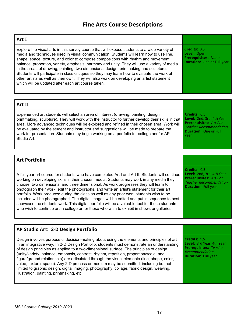# **Fine Arts Course Descriptions**

| Art I                                                                                                                                                                                                                                                                                                                                                                                                                                                                                                                                                                                                                                                                                                                  |                                                                                           |
|------------------------------------------------------------------------------------------------------------------------------------------------------------------------------------------------------------------------------------------------------------------------------------------------------------------------------------------------------------------------------------------------------------------------------------------------------------------------------------------------------------------------------------------------------------------------------------------------------------------------------------------------------------------------------------------------------------------------|-------------------------------------------------------------------------------------------|
| Explore the visual arts in this survey course that will expose students to a wide variety of<br>media and techniques used in visual communication. Students will learn how to use line,<br>shape, space, texture, and color to compose compositions with rhythm and movement,<br>balance, proportion, variety, emphasis, harmony and unity. They will use a variety of media<br>in the areas of drawing, painting, two dimensional design, printmaking and sculpture.<br>Students will participate in class critiques so they may learn how to evaluate the work of<br>other artists as well as their own. They will also work on developing an artist statement<br>which will be updated after each art course taken. | Credits: 0.5<br>Level: Open<br><b>Prerequisites: None</b><br><b>Duration: One or Full</b> |

| <b>Art II</b>                                                                                       |                                |
|-----------------------------------------------------------------------------------------------------|--------------------------------|
| Experienced art students will select an area of interest (drawing, painting, design,                | Credits: 0.5                   |
| printmaking, sculpture). They will work with the instructor to further develop their skills in that | Level: 2nd, 3rd, 4th Year      |
| area. More advanced techniques will be explored and refined in their chosen area. Work will         | <b>Prerequisites: Art I or</b> |
| be evaluated by the student and instructor and suggestions will be made to prepare the              | Teacher Recommendation         |
| work for presentation. Students may begin working on a portfolio for college and/or AP              | <b>Duration: One or Full</b>   |
| Studio Art.                                                                                         | vear                           |

| <b>Art Portfolio</b>                                                                                                                                                                                                                                                                                                                                                                                                                                                                                                                                                                                                                                                                                                                                                        |                                                                                                                                            |
|-----------------------------------------------------------------------------------------------------------------------------------------------------------------------------------------------------------------------------------------------------------------------------------------------------------------------------------------------------------------------------------------------------------------------------------------------------------------------------------------------------------------------------------------------------------------------------------------------------------------------------------------------------------------------------------------------------------------------------------------------------------------------------|--------------------------------------------------------------------------------------------------------------------------------------------|
| A full year art course for students who have completed Art I and Art II. Students will continue<br>working on developing skills in their chosen media. Students may work in any media they<br>choose, two dimensional and three dimensional. As work progresses they will learn to<br>photograph their work, edit the photographs, and write an artist's statement for their art<br>portfolio. Work produced during the class as well as any prior work students wish to be<br>included will be photographed. The digital images will be edited and put in sequence to best<br>showcase the students work. This digital portfolio will be a valuable tool for those students<br>who wish to continue art in college or for those who wish to exhibit in shows or galleries. | Credits: 0.5<br>Level: 2nd, 3rd, 4th Year<br><b>Prerequisites: Art I or</b><br><b>Teacher Recommendation</b><br><b>Duration: Full year</b> |

#### **AP Studio Art: 2-D Design Portfolio**

Design involves purposeful decision-making about using the elements and principles of art in an integrative way. In 2-D Design Portfolio, students must demonstrate an understanding of design principles as applied to a two-dimensional surface. The principles of design (unity/variety, balance, emphasis, contrast, rhythm, repetition, proportion/scale, and figure/ground relationship) are articulated through the visual elements (line, shape, color, value, texture, space). Any 2-D process or medium may be submitted, including but not limited to graphic design, digital imaging, photography, collage, fabric design, weaving, illustration, painting, printmaking, etc.

**Credits:** 1.5 **Level:** 3rd Year, 4th Year **Prerequisites:** Teacher Recommendation **Duration:** Full year

ear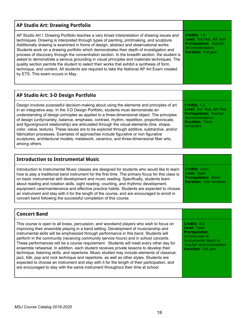| <b>AP Studio Art: Drawing Portfolio</b>                                                                                                                                                                                                                                                                                                                                                                                                                                                                                                                                                                                                                                                                                                                                                                           |                                                                                                                            |
|-------------------------------------------------------------------------------------------------------------------------------------------------------------------------------------------------------------------------------------------------------------------------------------------------------------------------------------------------------------------------------------------------------------------------------------------------------------------------------------------------------------------------------------------------------------------------------------------------------------------------------------------------------------------------------------------------------------------------------------------------------------------------------------------------------------------|----------------------------------------------------------------------------------------------------------------------------|
| AP Studio Art I: Drawing Portfolio teaches a very broad interpretation of drawing issues and<br>techniques. Drawing is interpreted through types of painting, printmaking, and sculpture.<br>Additionally drawing is examined in forms of design, abstract and observational works.<br>Students work on a drawing portfolio which demonstrates their depth of investigation and<br>process of discovery through the concentration section. In the breadth section, the student is<br>asked to demonstrate a serious grounding in visual principles and materials techniques. The<br>quality section permits the student to select their works that exhibit a synthesis of form,<br>technique, and content. All students are required to take the National AP Art Exam created<br>by ETS. This exam occurs in May. | Credits: 1.5<br>Level: 3rd Year, 4th Year<br><b>Prerequisites: Teacher</b><br>Recommendation<br><b>Duration: Full year</b> |

| AP Studio Art: 3-D Design Portfolio                                                                                                                                                                                                                                                                                                                                                                                                                                                                                                                                                                                                                                                                                                                                           |                                                                                                                                            |
|-------------------------------------------------------------------------------------------------------------------------------------------------------------------------------------------------------------------------------------------------------------------------------------------------------------------------------------------------------------------------------------------------------------------------------------------------------------------------------------------------------------------------------------------------------------------------------------------------------------------------------------------------------------------------------------------------------------------------------------------------------------------------------|--------------------------------------------------------------------------------------------------------------------------------------------|
| Design involves purposeful decision-making about using the elements and principles of art<br>in an integrative way. In the 3-D Design Portfolio, students must demonstrate an<br>understanding of design principles as applied to a three-dimensional object. The principles<br>of design (unity/variety, balance, emphasis, contrast, rhythm, repetition, proportion/scale,<br>and figure/ground relationship) are articulated through the visual elements (line, shape,<br>color, value, texture). These issues are to be explored through additive, subtractive, and/or<br>fabrication processes. Examples of approaches include figurative or non figurative<br>sculptures, architectural models, metalwork, ceramics, and three-dimensional fiber arts,<br>among others. | Credits: 1.5<br>Level: 3rd Year, 4th Year<br><b>Prerequisites: Teacher</b><br>Recommendation<br><b>Duration: Three</b><br><b>Semesters</b> |

| <b>Introduction to Instrumental Music</b>                                                                                                                                                                                                                                                                                                                                                                                                                                                                                                                                                                                                              |                                                                                                    |
|--------------------------------------------------------------------------------------------------------------------------------------------------------------------------------------------------------------------------------------------------------------------------------------------------------------------------------------------------------------------------------------------------------------------------------------------------------------------------------------------------------------------------------------------------------------------------------------------------------------------------------------------------------|----------------------------------------------------------------------------------------------------|
| Introduction to Instrumental Music classes are designed for students who would like to learn<br>how to play a traditional band instrument for the first time. The primary focus for this class is<br>on basic instrumental skill development and music reading. Specifically, students learn<br>about reading and notation skills, sight reading, counting, and rhythmic development,<br>equipment care/maintenance and effective practice habits. Students are expected to choose<br>an instrument and stay with it for the length of the course, and are encouraged to enroll in<br>concert band following the successful completion of this course. | <b>Credits: none</b><br>Level: Open<br><b>Prerequisites: None</b><br><b>Duration: One Semester</b> |

| <b>Concert Band</b>                                                                                                                                                                                                                                                                                                                                                                                                                                                                                                                                                                                                                                                                                                                                                                                                                                                                                                                     |                                                                                                                                                                        |
|-----------------------------------------------------------------------------------------------------------------------------------------------------------------------------------------------------------------------------------------------------------------------------------------------------------------------------------------------------------------------------------------------------------------------------------------------------------------------------------------------------------------------------------------------------------------------------------------------------------------------------------------------------------------------------------------------------------------------------------------------------------------------------------------------------------------------------------------------------------------------------------------------------------------------------------------|------------------------------------------------------------------------------------------------------------------------------------------------------------------------|
| This course is open to all brass, percussion, and woodwind players who wish to focus on<br>improving their ensemble playing in a band setting. Development of musicianship and<br>instrumental skills will be emphasized through performance in this band. Students will<br>perform in the community (receiving community service hours) and in school concerts.<br>These performances will be a course requirement. Students will meet every other day for<br>ensemble rehearsal. In addition, each student receives private lessons to develop their<br>technique, listening skills, and repertoire. Music studied may include elements of classical,<br>jazz, folk, pop and rock technique and repertoire, as well as other styles. Students are<br>expected to choose an instrument and stay with it for the length of their participation, and<br>are encouraged to stay with the same instrument throughout their time at school. | Credits: 0.5<br>Level: Open<br><b>Prerequisites:</b><br>Introduction to<br><b>Instrumental Music or</b><br><b>Teacher recommendation</b><br><b>Duration: Full year</b> |

 $\mathsf \Gamma$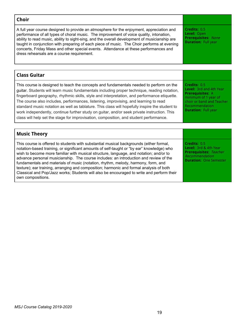#### **Choir** A full year course designed to provide an atmosphere for the enjoyment, appreciation and performance of all types of choral music. The improvement of voice quality, intonation, ability to read music, ability to sight-sing, and the overall development of musicianship are taught in conjunction with preparing of each piece of music. The Choir performs at evening concerts, Friday Mass and other special events. Attendance at these performances and dress rehearsals are a course requirement. **Credits:** 0.5 **Level:** Open **Prerequisites:** None **Duration:** Full year **Class Guitar** This course is designed to teach the concepts and fundamentals needed to perform on the guitar. Students will learn music fundamentals including proper technique, reading notation, fingerboard geography, rhythmic skills, style and interpretation, and performance etiquette. The course also includes, performances, listening, improvising, and learning to read standard music notation as well as tablature. This class will hopefully inspire the student to work independently, continue further study on guitar, and/or seek private instruction. This class will help set the stage for improvisation, composition, and student performance. **Credits:** 0.5 **Level:** 3rd and 4th Year **Prerequisites:** A minimum of 1 year of choir or band and Teacher Recommendation **Duration:** Full year **Music Theory** This course is offered to students with substantial musical backgrounds (either formal, **Credits:** 0.5 **Level:** 3rd & 4th Year

notation-based training, or significant amounts of self-taught or "by ear" knowledge) who wish to become more familiar with musical structure, language, and notation; and/or to advance personal musicianship. The course includes: an introduction and review of the fundamentals and materials of music (notation, rhythm, melody, harmony, form, and texture); ear training, arranging and composition; harmonic and formal analysis of both Classical and Pop/Jazz works; Students will also be encouraged to write and perform their own compositions. **Prerequisites:** Teacher Recommendation **Duration:** One Semester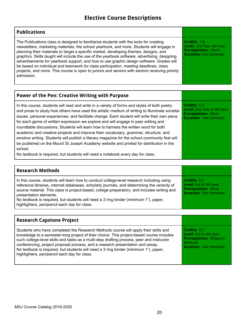# **Elective Course Descriptions**

#### **Publications**

The Publications class is designed to familiarize students with the tools for creating newsletters, marketing materials, the school yearbook, and more. Students will engage in planning their materials to target a specific market, developing themes, designs, and graphics. Skills taught will include the use of the yearbook software, advertising, designing advertisements for yearbook support, and how to use graphic design software. Grades will be based on individual and teamwork for class participation, meeting deadlines, class projects, and more. This course is open to juniors and seniors with seniors receiving priority admission.

**Credits:** 1.0 **Level:** 3rd Year, 4th Year **Prerequisites:** None **Duration:** One Semester

**Credits:** 0.5

| Power of the Pen: Creative Writing with Purpose                                              |
|----------------------------------------------------------------------------------------------|
| In this course, students will read and write in a variety of forms and styles of both poetry |
| Land prose to study how others have used the artistic medium of writing to illuminate soci   |

prose to study how others have used the artistic medium of writing to illuminate societal issues, personal experiences, and facilitate change. Each student will write their own piece for each genre of written expression we explore and will engage in peer editing and roundtable discussions. Students will learn how to harness the written word for both academic and creative projects and improve their vocabulary, grammar, structure, and emotive writing. Students will publish a literary magazine for the school community that will be published on the Mount St Joseph Academy website and printed for distribution in the school. **Level:** 2nd, 3rd, or 4th year **Prerequisites:** None **Duration:** One Semester

No textbook is required, but students will need a notebook every day for class.

| <b>Research Methods</b>                                                                                                                                                                                                                                                                                                                                                                                                                                    |                                                                                                       |
|------------------------------------------------------------------------------------------------------------------------------------------------------------------------------------------------------------------------------------------------------------------------------------------------------------------------------------------------------------------------------------------------------------------------------------------------------------|-------------------------------------------------------------------------------------------------------|
| In this course, students will learn how to conduct college-level research including using<br>reference libraries, internet databases, scholarly journals, and determining the veracity of<br>source material. This class is project-based, college-preparatory, and includes writing and<br>presentation elements.<br>No textbook is required, but students will need a 3 ring binder (minimum 1"), paper,<br>highlighters, pen/pencil each day for class. | Credits: 0.5<br>Level: 3rd or 4th year<br><b>Prerequisites: None</b><br><b>Duration: One Semester</b> |

| <b>Research Capstone Project</b>                                                                                                                                                                                                                                                                                                                                                                                                                                                                       |                                                                                                                             |
|--------------------------------------------------------------------------------------------------------------------------------------------------------------------------------------------------------------------------------------------------------------------------------------------------------------------------------------------------------------------------------------------------------------------------------------------------------------------------------------------------------|-----------------------------------------------------------------------------------------------------------------------------|
| Students who have completed the Research Methods course will apply their skills and<br>knowledge to a semester-long project of their choice. This project-based course includes<br>such college-level skills and tasks as a multi-step drafting process, peer and instructor<br>conferencing, project proposal process, and a research presentation and essay.<br>No textbook is required, but students will need a 3 ring binder (minimum 1"), paper,<br>highlighters, pen/pencil each day for class. | Credits: 0.5<br>Level: 3rd or 4th year<br><b>Prerequisites:</b> Research<br><b>Methods</b><br><b>Duration: One Semester</b> |